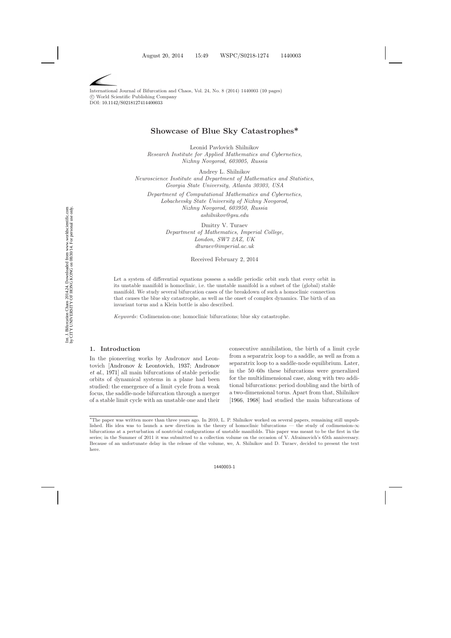International Journal of Bifurcation and Chaos, Vol. 24, No. 8 (2014) 1440003 [\(10](#page-8-0) pages) c World Scientific Publishing Company DOI: [10.1142/S0218127414400033](http://dx.doi.org/10.1142/S0218127414400033)

# **Showcase of Blue Sky Catastrophes\***

Leonid Pavlovich Shilnikov

*Research Institute for Applied Mathematics and Cybernetics, Nizhny Novgorod, 603005, Russia*

Andrey L. Shilnikov *Neuroscience Institute and Department of Mathematics and Statistics, Georgia State University, Atlanta 30303, USA*

*Department of Computational Mathematics and Cybernetics, Lobachevsky State University of Nizhny Novgorod, Nizhny Novgorod, 603950, Russia ashilnikov@gsu.edu*

> Dmitry V. Turaev *Department of Mathematics, Imperial College, London, SW7 2AZ, UK dturaev@imperial.ac.uk*

> > Received February 2, 2014

Let a system of differential equations possess a saddle periodic orbit such that every orbit in its unstable manifold is homoclinic, i.e. the unstable manifold is a subset of the (global) stable manifold. We study several bifurcation cases of the breakdown of such a homoclinic connection that causes the blue sky catastrophe, as well as the onset of complex dynamics. The birth of an invariant torus and a Klein bottle is also described.

*Keywords*: Codimension-one; homoclinic bifurcations; blue sky catastrophe.

## **1. Introduction**

In the pioneering works by Andronov and Leontovic[h](#page-8-2) [\[Andronov & Leontovich](#page-8-1)[,](#page-8-2) [1937](#page-8-1); Andronov *et al.*, [1971](#page-8-2)] all main bifurcations of stable periodic orbits of dynamical systems in a plane had been studied: the emergence of a limit cycle from a weak focus, the saddle-node bifurcation through a merger of a stable limit cycle with an unstable one and their

consecutive annihilation, the birth of a limit cycle from a separatrix loop to a saddle, as well as from a separatrix loop to a saddle-node equilibrium. Later, in the 50–60s these bifurcations were generalized for the multidimensional case, along with two additional bifurcations: period doubling and the birth of a two-dimensional torus. Apart from that, Shilnikov [\[1966](#page-9-0), [1968](#page-9-1)] had studied the main bifurcations of

<sup>∗</sup>The paper was written more than three years ago. In 2010, L. P. Shilnikov worked on several papers, remaining still unpublished. His idea was to launch a new direction in the theory of homoclinic bifurcations — the study of codimension- $\infty$ bifurcations at a perturbation of nontrivial configurations of unstable manifolds. This paper was meant to be the first in the series; in the Summer of 2011 it was submitted to a collection volume on the occasion of V. Afraimovich's 65th anniversary. Because of an unfortunate delay in the release of the volume, we, A. Shilnikov and D. Turaev, decided to present the text here.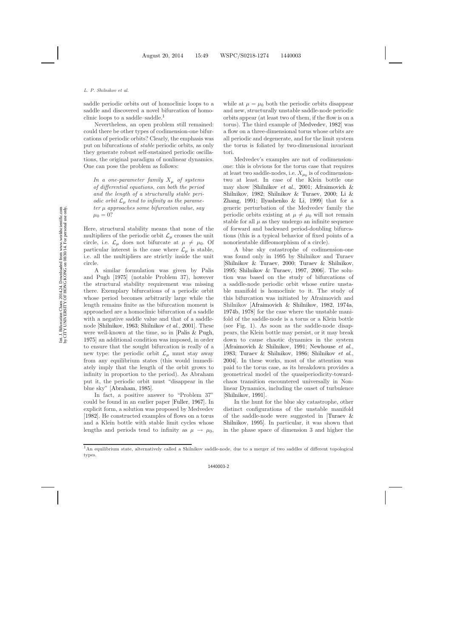saddle periodic orbits out of homoclinic loops to a saddle and discovered a novel bifurcation of homo-clinic loops to a saddle–saddle.<sup>[1](#page-1-0)</sup>

Nevertheless, an open problem still remained: could there be other types of codimension-one bifurcations of periodic orbits? Clearly, the emphasis was put on bifurcations of *stable* periodic orbits, as only they generate robust self-sustained periodic oscillations, the original paradigm of nonlinear dynamics. One can pose the problem as follows:

*In a one-parameter family*  $X_{\mu}$  *of systems of differential equations*, *can both the period and the length of a structurally stable periodic orbit*  $\mathcal{L}_{\mu}$  *tend to infinity as the parameter* µ *approaches some bifurcation value*, *say*  $\mu_0 = 0?$ 

Here, structural stability means that none of the multipliers of the periodic orbit  $\mathcal{L}_{\mu}$  crosses the unit circle, i.e.  $\mathcal{L}_{\mu}$  does not bifurcate at  $\mu \neq \mu_0$ . Of particular interest is the case where  $\mathcal{L}_{\mu}$  is stable, i.e. all the multipliers are strictly inside the unit circle.

A similar formulation was given by Palis and Pugh [\[1975\]](#page-8-3) (notable Problem 37), however the structural stability requirement was missing there. Exemplary bifurcations of a periodic orbit whose period becomes arbitrarily large while the length remains finite as the bifurcation moment is approached are a homoclinic bifurcation of a saddle with a negative saddle value and that of a saddlenode [\[Shilnikov,](#page-8-4) [1963;](#page-8-4) [Shilnikov](#page-9-2) *et al.*, [2001\]](#page-9-2). These were well-known at the time, so in [\[Palis & Pugh](#page-8-3), [1975\]](#page-8-3) an additional condition was imposed, in order to ensure that the sought bifurcation is really of a new type: the periodic orbit  $\mathcal{L}_{\mu}$  must stay away from any equilibrium states (this would immediately imply that the length of the orbit grows to infinity in proportion to the period). As Abraham put it, the periodic orbit must "disappear in the blue sky" [\[Abraham,](#page-8-5) [1985\]](#page-8-5).

In fact, a positive answer to "Problem 37" could be found in an earlier paper [\[Fuller,](#page-8-6) [1967\]](#page-8-6). In explicit form, a solution was proposed by Medvedev [\[1982\]](#page-8-7). He constructed examples of flows on a torus and a Klein bottle with stable limit cycles whose lengths and periods tend to infinity as  $\mu \to \mu_0$ ,

while at  $\mu = \mu_0$  both the periodic orbits disappear and new, structurally unstable saddle-node periodic orbits appear (at least two of them, if the flow is on a torus). The third example of [\[Medvedev,](#page-8-7) [1982](#page-8-7)] was a flow on a three-dimensional torus whose orbits are all periodic and degenerate, and for the limit system the torus is foliated by two-dimensional invariant tori.

Medvedev's examples are not of codimensionone: this is obvious for the torus case that requires at least two saddle-nodes, i.e.  $X_{\mu_0}$  is of codimensiontwo at least. In case of the Klein bottle one may sho[w](#page-8-8) [\[Shilnikov](#page-9-2) *et al.*, [2001;](#page-9-2) Afraimovich & Shilnikov, [1982](#page-8-8); [Shilnikov & Turaev](#page-9-3)[,](#page-8-9) [2000](#page-9-3); Li & Zhang, [1991;](#page-8-9) [Ilyashenko & Li,](#page-8-10) [1999\]](#page-8-10) that for a generic perturbation of the Medvedev family the periodic orbits existing at  $\mu \neq \mu_0$  will not remain stable for all  $\mu$  as they undergo an infinite sequence of forward and backward period-doubling bifurcations (this is a typical behavior of fixed points of a nonorientable diffeomorphism of a circle).

A blue sky catastrophe of codimension-one was found only in 1995 by Shilnikov and Turaev [\[Shilnikov & Turaev,](#page-9-3) [2000;](#page-9-3) [Turaev & Shilnikov](#page-9-4), [1995;](#page-9-4) [Shilnikov & Turaev](#page-9-5), [1997,](#page-9-5) [2006\]](#page-9-6). The solution was based on the study of bifurcations of a saddle-node periodic orbit whose entire unstable manifold is homoclinic to it. The study of this bifurcation was initiated by Afraimovich and Shilnikov [\[Afraimovich & Shilnikov,](#page-8-8) [1982](#page-8-8), [1974a](#page-8-11), [1974b](#page-8-12), [1978\]](#page-8-13) for the case where the unstable manifold of the saddle-node is a torus or a Klein bottle (see Fig. [1\)](#page-2-0). As soon as the saddle-node disappears, the Klein bottle may persist, or it may break down to cause chaotic dynamics in the system [\[Afraimovich & Shilnikov,](#page-8-14) [1991;](#page-8-14) [Newhouse](#page-8-15) *et al.*, [1983;](#page-8-15) [Turaev & Shilnikov,](#page-9-7) [1986;](#page-9-7) [Shilnikov](#page-9-8) *et al.*, [2004\]](#page-9-8). In these works, most of the attention was paid to the torus case, as its breakdown provides a geometrical model of the quasiperiodicity-towardchaos transition encountered universally in Nonlinear Dynamics, including the onset of turbulence [\[Shilnikov,](#page-9-9) [1991](#page-9-9)].

In the hunt for the blue sky catastrophe, other distinct configurations of the unstable manifold of the s[addle-node were suggested in \[](#page-9-4)Turaev & Shilnikov, [1995\]](#page-9-4). In particular, it was shown that in the phase space of dimension 3 and higher the

<span id="page-1-0"></span><sup>&</sup>lt;sup>1</sup>An equilibrium state, alternatively called a Shilnikov saddle-node, due to a merger of two saddles of different topological types.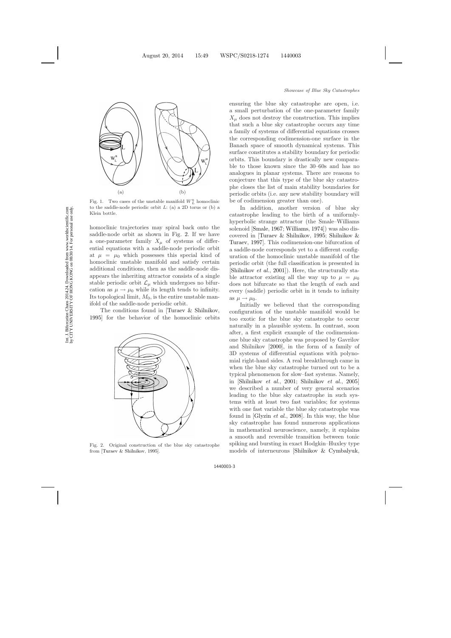

<span id="page-2-0"></span>Fig. 1. Two cases of the unstable manifold  $W_L^u$  homoclinic to the saddle-node periodic orbit *L*: (a) a 2D torus or (b) a Klein bottle.

homoclinic trajectories may spiral back onto the saddle-node orbit as shown in Fig. [2.](#page-2-1) If we have a one-parameter family  $X_\mu$  of systems of differential equations with a saddle-node periodic orbit at  $\mu = \mu_0$  which possesses this special kind of homoclinic unstable manifold and satisfy certain additional conditions, then as the saddle-node disappears the inheriting attractor consists of a single stable periodic orbit  $\mathcal{L}_{\mu}$  which undergoes no bifurcation as  $\mu \to \mu_0$  while its length tends to infinity. Its topological limit,  $M_0$ , is the entire unstable manifold of the saddle-node periodic orbit.

The conditions found in [\[Turaev & Shilnikov](#page-9-10), [1995](#page-9-10)] for the behavior of the homoclinic orbits



<span id="page-2-1"></span>Fig. 2. Original construction of the blue sky catastrophe from [\[Turaev & Shilnikov](#page-9-10), [1995](#page-9-10)].

ensuring the blue sky catastrophe are open, i.e. a small perturbation of the one-parameter family  $X_{\mu}$  does not destroy the construction. This implies that such a blue sky catastrophe occurs any time a family of systems of differential equations crosses the corresponding codimension-one surface in the Banach space of smooth dynamical systems. This surface constitutes a stability boundary for periodic orbits. This boundary is drastically new comparable to those known since the 30–60s and has no analogues in planar systems. There are reasons to conjecture that this type of the blue sky catastrophe closes the list of main stability boundaries for periodic orbits (i.e. any new stability boundary will be of codimension greater than one).

In addition, another version of blue sky catastrophe leading to the birth of a uniformlyhyperbolic strange attractor (the Smale–Williams solenoid [\[Smale](#page-9-11), [1967](#page-9-11); [Williams](#page-9-12), [1974](#page-9-12)]) was also discovere[d in](#page-9-13) [\[Turaev](#page-9-10)[&](#page-9-10)[Shilnikov](#page-9-10)[,](#page-9-13) [1995](#page-9-10); Shilnikov & Turaev, [1997](#page-9-13)]. This codimension-one bifurcation of a saddle-node corresponds yet to a different configuration of the homoclinic unstable manifold of the periodic orbit (the full classification is presented in [\[Shilnikov](#page-9-14) *et al.*, [2001](#page-9-14)]). Here, the structurally stable attractor existing all the way up to  $\mu = \mu_0$ does not bifurcate so that the length of each and every (saddle) periodic orbit in it tends to infinity as  $\mu \rightarrow \mu_0$ .

Initially we believed that the corresponding configuration of the unstable manifold would be too exotic for the blue sky catastrophe to occur naturally in a plausible system. In contrast, soon after, a first explicit example of the codimensionone blue sky catastrophe was proposed by Gavrilov and Shilnikov [\[2000](#page-8-16)], in the form of a family of 3D systems of differential equations with polynomial right-hand sides. A real breakthrough came in when the blue sky catastrophe turned out to be a typical phenomenon for slow–fast systems. Namely, in [\[Shilnikov](#page-9-14) *et al.*, [2001](#page-9-14); [Shilnikov](#page-9-15) *et al.*, [2005](#page-9-15)] we described a number of very general scenarios leading to the blue sky catastrophe in such systems with at least two fast variables; for systems with one fast variable the blue sky catastrophe was found in [\[Glyzin](#page-8-17) *et al.*, [2008](#page-8-17)]. In this way, the blue sky catastrophe has found numerous applications in mathematical neuroscience, namely, it explains a smooth and reversible transition between tonic spiking and bursting in exact Hodgkin–Huxley type models of interneurons [\[Shilnikov & Cymbalyuk](#page-9-16),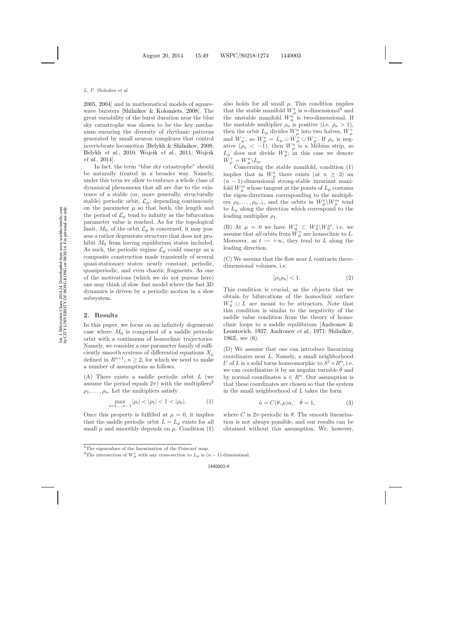Int. J. Bifurcation Chaos 2014.24. Downloaded from www.worldscientific.com<br>by CITY UNIVERSITY OF HONG KONG on 08/30/14. For personal use only. by CITY UNIVERSITY OF HONG KONG on 08/30/14. For personal use only.Int. J. Bifurcation Chaos 2014.24. Downloaded from www.worldscientific.com

[2005,](#page-9-17) [2004](#page-9-18)] and in mathematical models of squarewave bursters [\[Shilnikov & Kolomiets,](#page-9-19) [2008\]](#page-9-19). The great variability of the burst duration near the blue sky catastrophe was shown to be the key mechanism ensuring the diversity of rhythmic patterns generated by small neuron complexes that control invertebrate locomotion [\[Belykh & Shilnikov,](#page-8-18) [2008](#page-8-18); [Belykh](#page-8-19) *et al.*, [2010](#page-8-19); [Wojcik](#page-9-20) *et al.*, [2011](#page-9-20); Wojcik *et al.*, [2014\]](#page-9-21).

In fact, the term "blue sky catastrophe" should be naturally treated in a broader way. Namely, under this term we allow to embrace a whole class of dynamical phenomena that all are due to the existence of a stable (or, more generally, structurally stable) periodic orbit,  $\mathcal{L}_{\mu}$ , depending continuously on the parameter  $\mu$  so that both, the length and the period of  $\mathcal{L}_{\mu}$  tend to infinity as the bifurcation parameter value is reached. As for the topological limit,  $M_0$ , of the orbit  $\mathcal{L}_{\mu}$  is concerned, it may possess a rather degenerate structure that does not prohibit  $M_0$  from having equilibrium states included. As such, the periodic regime  $\mathcal{L}_{\mu}$  could emerge as a composite construction made transiently of several quasi-stationary states: nearly constant, periodic, quasiperiodic, and even chaotic fragments. As one of the motivations (which we do not pursue here) one may think of slow–fast model where the fast 3D dynamics is driven by a periodic motion in a slow subsystem.

# **2. Results**

In this paper, we focus on an infinitely degenerate case where  $M_0$  is comprised of a saddle periodic orbit with a continuum of homoclinic trajectories. Namely, we consider a one-parameter family of sufficiently smooth systems of differential equations  $X_\mu$ defined in  $R^{n+1}$ ,  $n \geq 2$ , for which we need to make a number of assumptions as follows.

(A) There exists a saddle periodic orbit L (we assume the period equals  $2\pi$  $2\pi$ ) with the multipliers<sup>2</sup>  $\rho_1,\ldots,\rho_n$ . Let the multipliers satisfy

$$
\max_{i=2,\dots,n-1} |\rho_i| < |\rho_1| < 1 < |\rho_n|.\tag{1}
$$

<span id="page-3-1"></span>Once this property is fulfilled at  $\mu = 0$ , it implies that the saddle periodic orbit  $L = L<sub>u</sub>$  exists for all small  $\mu$  and smoothly depends on  $\mu$ . Condition [\(1\)](#page-3-1) also holds for all small  $\mu$ . This condition implies that the stable manifold  $W^s_\mu$  is *n*-dimensional<sup>[3](#page-3-2)</sup> and the unstable manifold  $W_u^{\mu^k}$  is two-dimensional. If the unstable multiplier  $\rho_n$  is positive (i.e.  $\rho_n > 1$ ), then the orbit  $L_{\mu}$  divides  $W_{\mu}^{\mu}$  into two halves,  $W_{\mu}^{+}$ and  $W^-_u$ , so  $W^u_\mu = L_\mu \cup W^+_\mu \cup W^-_u$ . If  $\rho_n$  is negative  $(\rho_n < -1)$ , then  $W_u^u$  is a Möbius strip, so  $L_{\mu}$  does not divide  $W_{\mu}^{u}$ ; in this case we denote  $W^+_\mu = W^u_\mu \backslash L_\mu.$ 

Concerning the stable manifold, condition [\(1\)](#page-3-1) implies that in  $W^s_\mu$  there exists (at  $n \geq 3$ ) and  $(n - 1)$ -dimensional strong-stable invariant manifold  $W_{\mu}^{ss}$  whose tangent at the points of  $L_{\mu}$  contains the eigen-directions corresponding to the multipliers  $\rho_2, \ldots, \rho_{n-1}$ , and the orbits in  $W^s_\mu \backslash W^{ss}_\mu$  tend to  $L_{\mu}$  along the direction which correspond to the leading multiplier  $\rho_1$ .

(B) At  $\mu = 0$  we have  $W_0^+ \subset W_0^s \backslash W_0^{ss}$ , i.e. we assume that *all* orbits from  $\check{W}_0^+$  are homoclinic to L. Moreover, as  $t \to +\infty$ , they tend to L along the leading direction.

 $(C)$  We assume that the flow near L contracts threedimensional volumes, i.e.

$$
|\rho_1 \rho_n| < 1. \tag{2}
$$

This condition is crucial, as the objects that we obtain by bifurcations of the homoclinic surface  $W_0^+ \cup L$  are meant to be attractors. Note that this condition is similar to the negativity of the saddle value condition from the theory of homoclinic loop[s to a saddle equilibrium \[](#page-8-20)Andronov & Leontovich, [1937](#page-8-20); [Andronov](#page-8-21) *et al.*, [1971;](#page-8-21) [Shilnikov](#page-8-4), [1963\]](#page-8-4), see [\(6\)](#page-4-0).

(D) We assume that one can introduce linearizing coordinates near L. Namely, a small neighborhood U of L is a solid torus homeomorphic to  $S^1 \times R^n$ , i.e. we can coordinatize it by an angular variable  $\theta$  and by normal coordinates  $u \in R^n$ . Our assumption is that these coordinates are chosen so that the system in the small neighborhood of  $L$  takes the form

$$
\dot{u} = C(\theta, \mu)u, \quad \dot{\theta} = 1,\tag{3}
$$

<span id="page-3-3"></span>where C is  $2\pi$ -periodic in  $\theta$ . The smooth linearization is not always possible, and our results can be obtained without this assumption. We, however,

 $2$ The eigenvalues of the linearization of the Poincaré map.

<span id="page-3-2"></span><span id="page-3-0"></span><sup>&</sup>lt;sup>3</sup>The intersection of  $W^s_\mu$  with any cross-section to  $L_\mu$  is  $(n-1)$ -dimensional.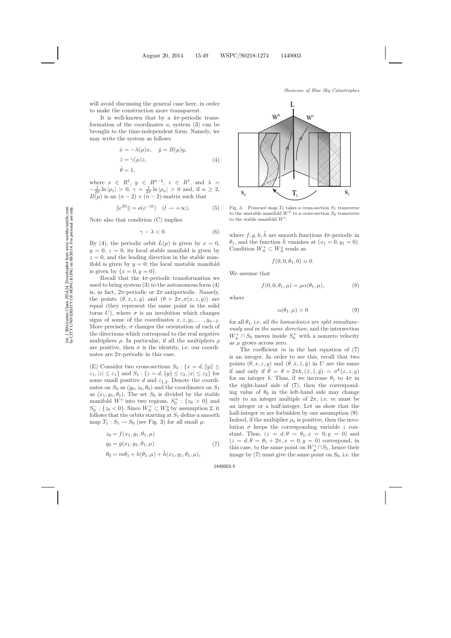will avoid discussing the general case here, in order to make the construction more transparent.

It is well-known that by a  $4\pi$ -periodic transformation of the coordinates  $u$ , system  $(3)$  can be brought to the time-independent form. Namely, we may write the system as follows

$$
\begin{aligned}\n\dot{x} &= -\lambda(\mu)x, \quad \dot{y} &= B(\mu)y, \\
\dot{z} &= \gamma(\mu)z, \\
\dot{\theta} &= 1,\n\end{aligned} \tag{4}
$$

<span id="page-4-7"></span><span id="page-4-1"></span>where  $x \in R^1$ ,  $y \in R^{n-2}$ ,  $z \in R^1$ , and  $\lambda =$  $-\frac{1}{2\pi}\ln|\rho_1| > 0, \ \gamma = \frac{1}{2\pi}\ln|\rho_n| > 0$  and, if  $n \ge 2$ ,  $B(\mu)$  is an  $(n-2) \times (n-2)$ -matrix such that

$$
||e^{Bt}|| = o(e^{-\lambda t}) \quad (t \to +\infty). \tag{5}
$$

<span id="page-4-8"></span><span id="page-4-0"></span>Note also that condition (C) implies

$$
\gamma - \lambda < 0. \tag{6}
$$

By [\(4\)](#page-4-1), the periodic orbit  $L(\mu)$  is given by  $x=0$ ,  $y = 0, z = 0$ , its local stable manifold is given by  $z = 0$ , and the leading direction in the stable manifold is given by  $y = 0$ ; the local unstable manifold is given by  $\{x=0, y=0\}.$ 

Recall that the  $4\pi$ -periodic transformation we used to bring system  $(3)$  to the autonomous form  $(4)$ is, in fact,  $2\pi$ -periodic or  $2\pi$ -antiperiodic. Namely, the points  $(\theta, x, z, y)$  and  $(\theta + 2\pi, \sigma(x, z, y))$  are equal (they represent the same point in the solid torus U), where  $\sigma$  is an involution which changes signs of some of the coordinates  $x, z, y_1, \ldots, y_{n-2}$ . More precisely,  $\sigma$  changes the orientation of each of the directions which correspond to the real negative multipliers  $\rho$ . In particular, if all the multipliers  $\rho$ are positive, then  $\sigma$  is the identity, i.e. our coordinates are  $2\pi$ -periodic in this case.

(E) Consider two cross-sections  $S_0$ : { $x = d$ , ||y||  $\leq$  $\{\varepsilon_1, |z| \leq \varepsilon_1\}$  and  $S_1: \{z = d, ||y|| \leq \varepsilon_2, |x| \leq \varepsilon_2\}$  for some small positive d and  $\varepsilon_{1,2}$ . Denote the coordinates on  $S_0$  as  $(y_0, z_0, \theta_0)$  and the coordinates on  $S_1$ as  $(x_1, y_1, \theta_1)$ . The set  $S_0$  is divided by the stable manifold  $W^s$  into two regions,  $S_0^+$ : { $z_0 > 0$ } and  $S_0^-$ : { $z_0 < 0$ }. Since  $W_0^+ \subset W_0^s$  by assumption 2, it follows that the orbits starting at  $S_1$  define a smooth map  $T_1: S_1 \to S_0$  (see Fig. [3\)](#page-4-2) for all small  $\mu$ :

<span id="page-4-5"></span><span id="page-4-3"></span>
$$
z_0 = f(x_1, y_1, \theta_1, \mu)
$$
  
\n
$$
y_0 = g(x_1, y_1, \theta_1, \mu)
$$
  
\n
$$
\theta_0 = m\theta_1 + h(\theta_1, \mu) + \tilde{h}(x_1, y_1, \theta_1, \mu),
$$
\n(7)



<span id="page-4-2"></span>Fig. 3. Poincaré map  $T_1$  takes a cross-section  $S_1$  transverse to the unstable manifold  $W^u$  to a cross-section  $S_0$  transverse to the stable manifold *Ws*.

where  $f, g, h, h$  are smooth functions  $4\pi$ -periodic in  $\theta_1$ , and the function h vanishes at  $(x_1 = 0, y_1 = 0)$ . Condition  $W_0^+ \subset W_0^s$  reads as

$$
f(0,0,\theta_1,0) \equiv 0.
$$

We assume that

$$
f(0,0,\theta_1,\mu) = \mu \alpha(\theta_1,\mu), \tag{8}
$$

<span id="page-4-6"></span><span id="page-4-4"></span>where

$$
\alpha(\theta_1, \mu) > 0 \tag{9}
$$

for all  $\theta_1$ , i.e. *all the homoclinics are split simultaneously and in the same direction*, and the intersection  $W^+_\mu \cap S_0$  moves inside  $S^+_0$  with a nonzero velocity as  $\mu$  grows across zero.

The coefficient  $m$  in the last equation of  $(7)$ is an integer. In order to see this, recall that two points  $(\theta, x, z, y)$  and  $(\theta, \hat{x}, \hat{z}, \hat{y})$  in U are the same if and only if  $\hat{\theta} = \theta + 2\pi k, (\hat{x}, \hat{z}, \hat{y}) = \sigma^k(x, z, y)$ for an integer k. Thus, if we increase  $\theta_1$  to  $4\pi$  in the right-hand side of [\(7\)](#page-4-3), then the corresponding value of  $\theta_0$  in the left-hand side may change only to an integer multiple of  $2\pi$ , i.e. m must be an integer or a half-integer. Let us show that the half-integer  $m$  are forbidden by our assumption  $(9)$ . Indeed, if the multiplier  $\rho_n$  is positive, then the involution  $\sigma$  keeps the corresponding variable z constant. Thus,  $(z = d, \theta = \theta_1, x = 0, y = 0)$  and  $(z = d, \theta = \theta_1 + 2\pi, x = 0, y = 0)$  correspond, in this case, to the same point on  $W^+_\mu \cap S_1$ , hence their image by  $(7)$  must give the same point on  $S_0$ , i.e. the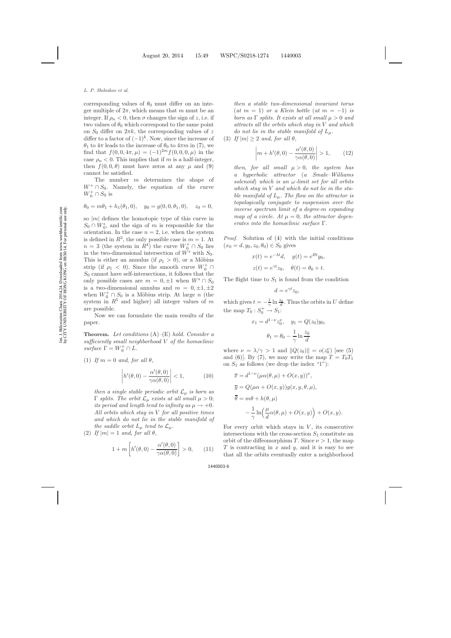corresponding values of  $\theta_0$  must differ on an integer multiple of  $2\pi$ , which means that m must be an integer. If  $\rho_n < 0$ , then  $\sigma$  changes the sign of z, i.e. if two values of  $\theta_0$  which correspond to the same point on  $S_0$  differ on  $2\pi k$ , the corresponding values of z differ to a factor of  $(-1)^k$ . Now, since the increase of  $\theta_1$  to  $4\pi$  leads to the increase of  $\theta_0$  to  $4\pi m$  in [\(7\)](#page-4-5), we find that  $f(0, 0, 4\pi, \mu) = (-1)^{2m} f(0, 0, 0, \mu)$  in the case  $\rho_n < 0$ . This implies that if m is a half-integer, then  $f(0, 0, \theta)$  must have zeros at any  $\mu$  and [\(9\)](#page-4-6) cannot be satisfied.

The number m determines the shape of  $W^+ \cap S_0$ . Namely, the equation of the curve  $W_0^+ \cap S_0$  is

$$
\theta_0 = m\theta_1 + h_1(\theta_1, 0),
$$
  $y_0 = g(0, 0, \theta_1, 0),$   $z_0 = 0,$ 

so  $|m|$  defines the homotopic type of this curve in  $S_0 \cap W_0^s$ , and the sign of m is responsible for the orientation. In the case  $n = 2$ , i.e. when the system is defined in  $R^3$ , the only possible case is  $m = 1$ . At  $n = 3$  (the system in  $R^4$ ) the curve  $W_0^+ \cap S_0$  lies in the two-dimensional intersection of  $W^s$  with  $S_0$ . This is either an annulus (if  $\rho_1 > 0$ ), or a Möbius strip (if  $\rho_1 < 0$ ). Since the smooth curve  $W_0^+ \cap$  $S_0$  cannot have self-intersections, it follows that the only possible cases are  $m = 0, \pm 1$  when  $W^s \cap S_0$ is a two-dimensional annulus and  $m = 0, \pm 1, \pm 2$ when  $W_0^+ \cap S_0$  is a Möbius strip. At large *n* (the system in  $R^5$  and higher) all integer values of m are possible.

Now we can formulate the main results of the paper.

**Theorem.** *Let conditions* (A)*–*(E) *hold. Consider a sufficiently small neighborhood* V *of the homoclinic*  $surface \Gamma = W_0^+ \cap L.$ 

<span id="page-5-0"></span>(1) If  $m = 0$  and, for all  $\theta$ ,

$$
\left| h'(\theta,0) - \frac{\alpha'(\theta,0)}{\gamma \alpha(\theta,0)} \right| < 1,\tag{10}
$$

*then a single stable periodic orbit*  $\mathcal{L}_{\mu}$  *is born as* Γ *splits. The orbit*  $\mathcal{L}_{\mu}$  *exists at all small*  $\mu > 0$ ; *its period and length tend to infinity as*  $\mu \rightarrow +0$ *. All orbits which stay in* V *for all positive times and which do not lie in the stable manifold of the saddle orbit*  $L_{\mu}$  *tend to*  $\mathcal{L}_{\mu}$ *.* 

<span id="page-5-1"></span>(2) If  $|m| = 1$  and, for all  $\theta$ ,

$$
1 + m\left[h'(\theta, 0) - \frac{\alpha'(\theta, 0)}{\gamma \alpha(\theta, 0)}\right] > 0, \qquad (11)
$$

*then a stable two-dimensional invariant torus*  $(at \t m = 1)$  *or a Klein bottle*  $(at \t m = -1)$  *is born as*  $\Gamma$  *splits. It exists at all small*  $\mu > 0$  *and attracts all the orbits which stay in* V *and which do not lie in the stable manifold of*  $L_\mu$ .

<span id="page-5-2"></span>(3) *If*  $|m| \geq 2$  *and, for all*  $\theta$ ,

$$
\left| m + h'(\theta, 0) - \frac{\alpha'(\theta, 0)}{\gamma \alpha(\theta, 0)} \right| > 1, \qquad (12)
$$

*then, for all small*  $\mu > 0$ *, the system has a hyperbolic attractor* (*a Smale–Williams solenoid*) *which is an* ω*-limit set for all orbits which stay in* V *and which do not lie in the stable manifold of*  $L_{\mu}$ *. The flow on the attractor is topologically conjugate to suspension over the inverse spectrum limit of a degree-*m *expanding map of a circle. At*  $\mu = 0$ , *the attractor degenerates into the homoclinic surface* Γ*.*

*Proof.* Solution of [\(4\)](#page-4-7) with the initial conditions  $(x_0 = d, y_0, z_0, \theta_0) \in S_0$  gives

$$
x(t) = e^{-\lambda t}d, \quad y(t) = e^{Bt}y_0,
$$
  

$$
z(t) = e^{\gamma t}z_0, \quad \theta(t) = \theta_0 + t.
$$

The flight time to  $S_1$  is found from the condition

$$
d=e^{\gamma t}z_0,
$$

which gives  $t = -\frac{1}{\gamma} \ln \frac{z_0}{d}$ . Thus the orbits in U define the map  $T_0: S_0^+ \to S_1$ :

$$
x_1 = d^{1-\nu} z_0^{\nu}, \quad y_1 = Q(z_0) y_0,
$$

$$
\theta_1 = \theta_0 - \frac{1}{\gamma} \ln \frac{z_0}{d}
$$

where  $\nu = \lambda/\gamma > 1$  and  $||Q(z_0)|| = o(z_0^{\nu})$  [see [\(5\)](#page-4-8) and [\(6\)](#page-4-0). By [\(7\)](#page-4-5), we may write the map  $T = T_0T_1$ on  $S_1$  as follows (we drop the index "1"):

$$
\overline{x} = d^{1-\nu} (\mu \alpha(\theta, \mu) + O(x, y))^{\nu},
$$
  
\n
$$
\overline{y} = Q(\mu \alpha + O(x, y))g(x, y, \theta, \mu),
$$
  
\n
$$
\overline{\theta} = m\theta + h(\theta, \mu)
$$
  
\n
$$
-\frac{1}{\gamma} \ln \left( \frac{\mu}{d} \alpha(\theta, \mu) + O(x, y) \right) + O(x, y).
$$

For every orbit which stays in  $V$ , its consecutive intersections with the cross-section  $S_1$  constitute an orbit of the diffeomorphism T. Since  $\nu > 1$ , the map  $T$  is contracting in  $x$  and  $y$ , and it is easy to see that all the orbits eventually enter a neighborhood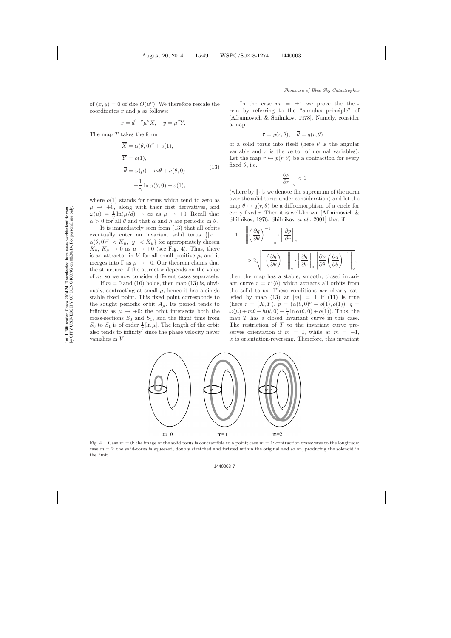of  $(x, y) = 0$  of size  $O(\mu^{\nu})$ . We therefore rescale the coordinates  $x$  and  $y$  as follows:

$$
x = d^{1-\nu} \mu^{\nu} X, \quad y = \mu^{\nu} Y.
$$

<span id="page-6-0"></span>The map  $T$  takes the form

$$
\overline{X} = \alpha(\theta, 0)^{\nu} + o(1),
$$
  
\n
$$
\overline{Y} = o(1),
$$
  
\n
$$
\overline{\theta} = \omega(\mu) + m\theta + h(\theta, 0)
$$
  
\n
$$
-\frac{1}{\gamma} \ln \alpha(\theta, 0) + o(1),
$$
\n(13)

where  $o(1)$  stands for terms which tend to zero as  $\mu \rightarrow +0$ , along with their first derivatives, and  $\omega(\mu) = \frac{1}{\gamma} \ln(\mu/d) \rightarrow \infty$  as  $\mu \rightarrow +0$ . Recall that  $\alpha > 0$  for all  $\theta$  and that  $\alpha$  and h are periodic in  $\theta$ .

It is immediately seen from [\(13\)](#page-6-0) that all orbits eventually enter an invariant solid torus  $\{x \alpha(\theta,0)^{\nu}$  |  $\lt K_{\mu}$ , ||y||  $\lt K_{\mu}$ } for appropriately chosen  $K_{\mu}, K_{\mu} \rightarrow 0$  as  $\mu \rightarrow +0$  (see Fig. [4\)](#page-6-1). Thus, there is an attractor in V for all small positive  $\mu$ , and it merges into  $\Gamma$  as  $\mu \to +0$ . Our theorem claims that the structure of the attractor depends on the value of m, so we now consider different cases separately.

If  $m = 0$  and [\(10\)](#page-5-0) holds, then map [\(13\)](#page-6-0) is, obviously, contracting at small  $\mu$ , hence it has a single stable fixed point. This fixed point corresponds to the sought periodic orbit  $A_\mu$ . Its period tends to infinity as  $\mu \rightarrow +0$ : the orbit intersects both the cross-sections  $S_0$  and  $S_1$ , and the flight time from  $S_0$  to  $S_1$  is of order  $\frac{1}{\gamma}$ |ln  $\mu$ |. The length of the orbit also tends to infinity, since the phase velocity never vanishes in  $V$ .

In the case  $m = \pm 1$  we prove the theorem by referring to the "annulus principle" of [\[Afraimovich & Shilnikov](#page-8-22), [1978](#page-8-22)]. Namely, consider a map

$$
\bar{r} = p(r, \theta), \quad \bar{\theta} = q(r, \theta)
$$

of a solid torus into itself (here  $\theta$  is the angular variable and  $r$  is the vector of normal variables). Let the map  $r \mapsto p(r, \theta)$  be a contraction for every fixed  $\theta$ , i.e.

$$
\left\|\frac{\partial p}{\partial r}\right\|_{\circ} < 1
$$

(where by  $\lVert \cdot \rVert_{\infty}$  we denote the supremum of the norm over the solid torus under consideration) and let the map  $\theta \mapsto q(r, \theta)$  be a diffeomorphism of a circle for every fixed r[. Then it is well-known \[](#page-8-22)Afraimovich  $\&$ Shilnikov, [1978](#page-8-22); [Shilnikov](#page-9-14) *et al.*, [2001](#page-9-14)] that if

$$
1 - \left\| \left( \frac{\partial q}{\partial \theta} \right)^{-1} \right\|_{\circ} \cdot \left\| \frac{\partial p}{\partial r} \right\|_{\circ}
$$
  
> 
$$
2 \sqrt{\left\| \left( \frac{\partial q}{\partial \theta} \right)^{-1} \right\|_{\circ} \cdot \left\| \frac{\partial q}{\partial r} \right\|_{\circ} \left\| \frac{\partial p}{\partial \theta} \left( \frac{\partial q}{\partial \theta} \right)^{-1} \right\|_{\circ}},
$$

then the map has a stable, smooth, closed invariant curve  $r = r^*(\theta)$  which attracts all orbits from the solid torus. These conditions are clearly sat-isfied by map [\(13\)](#page-6-0) at  $|m| = 1$  if [\(11\)](#page-5-1) is true (here  $r = (X, Y), p = (\alpha(\theta, 0)^{\nu} + o(1), o(1)), q =$  $\omega(\mu) + m\theta + h(\theta, 0) - \frac{1}{\gamma} \ln \alpha(\theta, 0) + o(1)$ . Thus, the map  $T$  has a closed invariant curve in this case. The restriction of  $T$  to the invariant curve preserves orientation if  $m = 1$ , while at  $m = -1$ , it is orientation-reversing. Therefore, this invariant



<span id="page-6-1"></span>Fig. 4. Case  $m = 0$ : the image of the solid torus is contractible to a point; case  $m = 1$ : contraction transverse to the longitude; case  $m = 2$ : the solid-torus is squeezed, doubly stretched and twisted within the original and so on, producing the solenoid in the limit.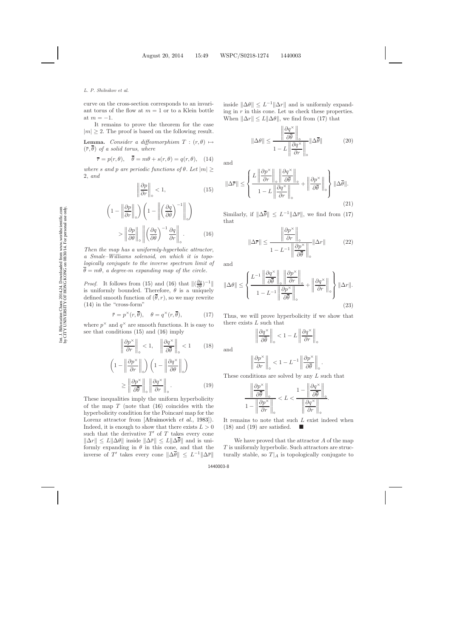#### *L. P. Shilnikov et al.*

curve on the cross-section corresponds to an invariant torus of the flow at  $m = 1$  or to a Klein bottle at  $m = -1$ .

It remains to prove the theorem for the case  $|m| \geq 2$ . The proof is based on the following result.

**Lemma.** *Consider a diffeomorphism*  $T : (r, \theta) \mapsto$  $(\bar{r}, \bar{\theta})$  *of a solid torus, where* 

$$
\overline{r} = p(r, \theta), \quad \overline{\theta} = m\theta + s(r, \theta) = q(r, \theta), \quad (14)
$$

<span id="page-7-4"></span><span id="page-7-1"></span><span id="page-7-0"></span>*where* s and p are periodic functions of  $\theta$ . Let  $|m| \geq$ 2, *and*

$$
\left\|\frac{\partial p}{\partial r}\right\|_{\circ} < 1,\tag{15}
$$

$$
\left(1 - \left\|\frac{\partial p}{\partial r}\right\|_{\circ}\right) \left(1 - \left\|\left(\frac{\partial q}{\partial \theta}\right)^{-1}\right\|_{\circ}\right)
$$

$$
> \left\|\frac{\partial p}{\partial \theta}\right\|_{\circ} \left\|\left(\frac{\partial q}{\partial \theta}\right)^{-1} \frac{\partial q}{\partial r}\right\|_{\circ} . \tag{16}
$$

*Then the map has a uniformly-hyperbolic attractor*, *a Smale–Williams solenoid*, *on which it is topologically conjugate to the inverse spectrum limit of*  $\bar{\theta} = m\theta$ , *a degree-m expanding map of the circle.* 

*Proof.* It follows from [\(15\)](#page-7-0) and [\(16\)](#page-7-0) that  $\left\| \left( \frac{\partial q}{\partial \theta} \right)^{-1} \right\|$ is uniformly bounded. Therefore,  $\theta$  is a uniquely defined smooth function of  $(\bar{\theta}, r)$ , so we may rewrite [\(14\)](#page-7-1) in the "cross-form"

$$
\bar{r} = p^{\times}(r, \bar{\theta}), \quad \theta = q^{\times}(r, \bar{\theta}), \tag{17}
$$

<span id="page-7-3"></span><span id="page-7-2"></span>where  $p^{\times}$  and  $q^{\times}$  are smooth functions. It is easy to see that conditions [\(15\)](#page-7-0) and [\(16\)](#page-7-0) imply

$$
\left\|\frac{\partial p^{\times}}{\partial r}\right\|_{\circ} < 1, \quad \left\|\frac{\partial q^{\times}}{\partial \overline{\theta}}\right\|_{\circ} < 1 \qquad (18)
$$

$$
\left(1 - \left\|\frac{\partial p^{\times}}{\partial r}\right\|_{\circ}\right) \left(1 - \left\|\frac{\partial q^{\times}}{\partial \theta}\right\|_{\circ}\right)
$$
\n
$$
\geq \left\|\frac{\partial p^{\times}}{\partial \overline{\theta}}\right\|_{\circ} \left\|\frac{\partial q^{\times}}{\partial r}\right\|_{\circ} . \tag{19}
$$

These inequalities imply the uniform hyperbolicity of the map  $T$  (note that  $(16)$  coincides with the hyperbolicity condition for the Poincaré map for the Lorenz attractor from [\[Afraimovich](#page-8-23) *et al.*, [1983\]](#page-8-23)). Indeed, it is enough to show that there exists  $L > 0$ such that the derivative  $T'$  of T takes every cone  $\|\Delta r\| \leq L \|\Delta \theta\|$  inside  $\|\Delta \bar{r}\| \leq L \|\Delta \bar{\theta}\|$  and is uniformly expanding in  $\theta$  in this cone, and that the inverse of T' takes every cone  $\|\Delta \bar{\theta}\| \leq L^{-1} \|\Delta \bar{r}\|$  inside  $\|\Delta\theta\| \leq L^{-1} \|\Delta r\|$  and is uniformly expanding in  $r$  in this cone. Let us check these properties. When  $\|\Delta r\| \leq L \|\Delta \theta\|$ , we find from [\(17\)](#page-7-2) that

$$
\|\Delta\theta\| \le \frac{\left\|\frac{\partial q^{\times}}{\partial \overline{\theta}}\right\|_{\circ}}{1 - L\left\|\frac{\partial q^{\times}}{\partial r}\right\|_{\circ}} \|\Delta\overline{\theta}\| \tag{20}
$$

and

$$
\|\Delta \overline{r}\| \le \left\{ \frac{L \left\| \frac{\partial p^{\times}}{\partial r} \right\|_{\circ} \left\| \frac{\partial q^{\times}}{\partial \overline{\theta}} \right\|_{\circ}}{1 - L \left\| \frac{\partial q^{\times}}{\partial r} \right\|_{\circ}} + \left\| \frac{\partial p^{\times}}{\partial \overline{\theta}} \right\|_{\circ} \right\} \|\Delta \overline{\theta}\|.
$$
\n(21)

Similarly, if  $\|\Delta \overline{\theta}\| \leq L^{-1} \|\Delta \overline{r}\|$ , we find from [\(17\)](#page-7-2) that

$$
\|\Delta \overline{r}\| \le \frac{\left\|\frac{\partial p^{\times}}{\partial r}\right\|_{\circ}}{1 - L^{-1} \left\|\frac{\partial p^{\times}}{\partial \overline{\theta}}\right\|_{\circ}} \|\Delta r\| \tag{22}
$$

and

$$
\|\Delta\theta\| \le \left\{ \frac{L^{-1} \left\| \frac{\partial q^{\times}}{\partial \overline{\theta}} \right\|_{\circ} \left\| \frac{\partial p^{\times}}{\partial r} \right\|_{\circ}}{1 - L^{-1} \left\| \frac{\partial p^{\times}}{\partial \overline{\theta}} \right\|_{\circ}} + \left\| \frac{\partial q^{\times}}{\partial r} \right\|_{\circ} \right\} \|\Delta r\|.
$$
\n(23)

Thus, we will prove hyperbolicity if we show that there exists L such that

$$
\left\|\frac{\partial q^\times}{\partial \overline{\theta}}\right\|_\circ < 1 - L \left\|\frac{\partial q^\times}{\partial r}\right\|_\circ
$$

and

$$
\left\|\frac{\partial p^{\times}}{\partial r}\right\|_{\circ} < 1 - L^{-1} \left\|\frac{\partial p^{\times}}{\partial \overline{\theta}}\right\|_{\circ}.
$$

These conditions are solved by any L such that

$$
\frac{\left\|\frac{\partial p^{\times}}{\partial \overline{\theta}}\right\|_{\circ}}{1 - \left\|\frac{\partial p^{\times}}{\partial r}\right\|_{\circ}} < L < \frac{1 - \left\|\frac{\partial q^{\times}}{\partial \overline{\theta}}\right\|_{\circ}}{\left\|\frac{\partial q^{\times}}{\partial r}\right\|_{\circ}}.
$$

It remains to note that such L exist indeed when  $(18)$  and  $(19)$  are satisfied.

We have proved that the attractor A of the map T is uniformly hyperbolic. Such attractors are structurally stable, so  $T|_A$  is topologically conjugate to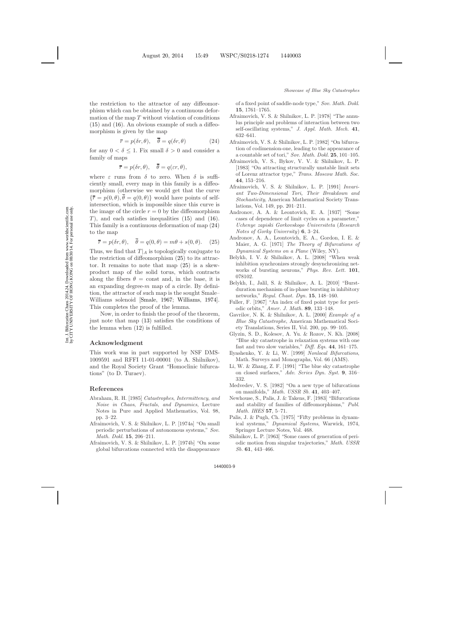the restriction to the attractor of any diffeomorphism which can be obtained by a continuous deformation of the map  $T$  without violation of conditions [\(15\)](#page-7-4) and [\(16\)](#page-7-4). An obvious example of such a diffeomorphism is given by the map

$$
\bar{r} = p(\delta r, \theta), \quad \bar{\theta} = q(\delta r, \theta) \tag{24}
$$

<span id="page-8-24"></span>for any  $0 < \delta \leq 1$ . Fix small  $\delta > 0$  and consider a family of maps

$$
\bar{r} = p(\delta r, \theta), \quad \bar{\theta} = q(\varepsilon r, \theta),
$$

where  $\varepsilon$  runs from  $\delta$  to zero. When  $\delta$  is sufficiently small, every map in this family is a diffeomorphism (otherwise we would get that the curve  ${\overline{r}} = p(0, \theta), \overline{\theta} = q(0, \theta)$  would have points of selfintersection, which is impossible since this curve is the image of the circle  $r = 0$  by the diffeomorphism T), and each satisfies inequalities  $(15)$  and  $(16)$ . This family is a continuous deformation of map [\(24\)](#page-8-24) to the map

$$
\overline{r} = p(\delta r, \theta), \quad \overline{\theta} = q(0, \theta) = m\theta + s(0, \theta). \quad (25)
$$

<span id="page-8-25"></span>Thus, we find that  $T|_A$  is topologically conjugate to the restriction of diffeomorphism [\(25\)](#page-8-25) to its attractor. It remains to note that map [\(25\)](#page-8-25) is a skewproduct map of the solid torus, which contracts along the fibers  $\theta = \text{const}$  and, in the base, it is an expanding degree- $m$  map of a circle. By definition, the attractor of such map is the sought Smale– Williams solenoid [\[Smale](#page-9-11), [1967](#page-9-11); [Williams](#page-9-12), [1974](#page-9-12)]. This completes the proof of the lemma.

Now, in order to finish the proof of the theorem, just note that map [\(13\)](#page-6-0) satisfies the conditions of the lemma when [\(12\)](#page-5-2) is fulfilled.

# **Acknowledgment**

This work was in part supported by NSF DMS-1009591 and RFFI 11-01-00001 (to A. Shilnikov), and the Royal Society Grant "Homoclinic bifurcations" (to D. Turaev).

## <span id="page-8-0"></span>**References**

- <span id="page-8-5"></span>Abraham, R. H. [1985] *Catastrophes*, *Intermittency*, *and Noise in Chaos*, *Fractals*, *and Dynamics*, Lecture Notes in Pure and Applied Mathematics, Vol. 98, pp. 3–22.
- <span id="page-8-11"></span>Afraimovich, V. S. & Shilnikov, L. P. [1974a] "On small periodic perturbations of autonomous systems," *Sov. Math. Dokl.* **15**, 206–211.
- <span id="page-8-12"></span>Afraimovich, V. S. & Shilnikov, L. P. [1974b] "On some global bifurcations connected with the disappearance

of a fixed point of saddle-node type," *Sov. Math. Dokl.* **15**, 1761–1765.

- <span id="page-8-22"></span><span id="page-8-13"></span>Afraimovich, V. S. & Shilnikov, L. P. [1978] "The annulus principle and problems of interaction between two self-oscillating systems," *J. Appl. Math. Mech.* **41**, 632–641.
- <span id="page-8-8"></span>Afraimovich, V. S. & Shilnikov, L. P. [1982] "On bifurcation of codimension-one, leading to the appearance of a countable set of tori," *Sov. Math. Dokl.* **25**, 101–105.
- <span id="page-8-23"></span>Afraimovich, V. S., Bykov, V. V. & Shilnikov, L. P. [1983] "On attracting structurally unstable limit sets of Lorenz attractor type," *Trans. Moscow Math. Soc.* **44**, 153–216.
- <span id="page-8-14"></span>Afraimovich, V. S. & Shilnikov, L. P. [1991] *Invariant Two-Dimensional Tori, Their Breakdown and Stochasticity*, American Mathematical Society Translations, Vol. 149, pp. 201–211.
- <span id="page-8-20"></span><span id="page-8-1"></span>Andronov, A. A. & Leontovich, E. A. [1937] "Some cases of dependence of limit cycles on a parameter," *Uchenye zapiski Gorkovskogo Universiteta* (*Research Notes of Gorky University*) **6**, 3–24.
- <span id="page-8-21"></span><span id="page-8-2"></span>Andronov, A. A., Leontovich, E. A., Gordon, I. E. & Maier, A. G. [1971] *The Theory of Bifurcations of Dynamical Systems on a Plane* (Wiley, NY).
- <span id="page-8-18"></span>Belykh, I. V. & Shilnikov, A. L. [2008] "When weak inhibition synchronizes strongly desynchronizing networks of bursting neurons," *Phys. Rev. Lett.* **101**, 078102.
- <span id="page-8-19"></span>Belykh, I., Jalil, S. & Shilnikov, A. L. [2010] "Burstduration mechanism of in-phase bursting in inhibitory networks," *Regul. Chaot. Dyn.* **15**, 148–160.
- <span id="page-8-6"></span>Fuller, F. [1967] "An index of fixed point type for periodic orbits," *Amer. J. Math.* **89**, 133–148.
- <span id="page-8-16"></span>Gavrilov, N. K. & Shilnikov, A. L. [2000] *Example of a Blue Sky Catastrophe*, American Mathematical Society Translations, Series II, Vol. 200, pp. 99–105.
- <span id="page-8-17"></span>Glyzin, S. D., Kolesov, A. Yu. & Rozov, N. Kh. [2008] "Blue sky catastrophe in relaxation systems with one fast and two slow variables," *Diff. Eqs.* **44**, 161–175.
- <span id="page-8-10"></span>Ilyashenko, Y. & Li, W. [1999] *Nonlocal Bifurcations*, Math. Surveys and Monographs, Vol. 66 (AMS).
- <span id="page-8-9"></span>Li, W. & Zhang, Z. F. [1991] "The blue sky catastrophe on closed surfaces," *Adv. Series Dyn. Syst.* **9**, 316– 332.
- <span id="page-8-7"></span>Medvedev, V. S. [1982] "On a new type of bifurcations on manifolds," *Math. USSR Sb.* **41**, 403–407.
- <span id="page-8-15"></span>Newhouse, S., Palis, J. & Takens, F. [1983] "Bifurcations and stability of families of diffeomorphisms," *Publ. Math. IHES* **57**, 5–71.
- <span id="page-8-3"></span>Palis, J. & Pugh, Ch. [1975] "Fifty problems in dynamical systems," *Dynamical Systems*, Warwick, 1974, Springer Lecture Notes, Vol. 468.
- <span id="page-8-4"></span>Shilnikov, L. P. [1963] "Some cases of generation of periodic motion from singular trajectories," *Math. USSR Sb.* **61**, 443–466.